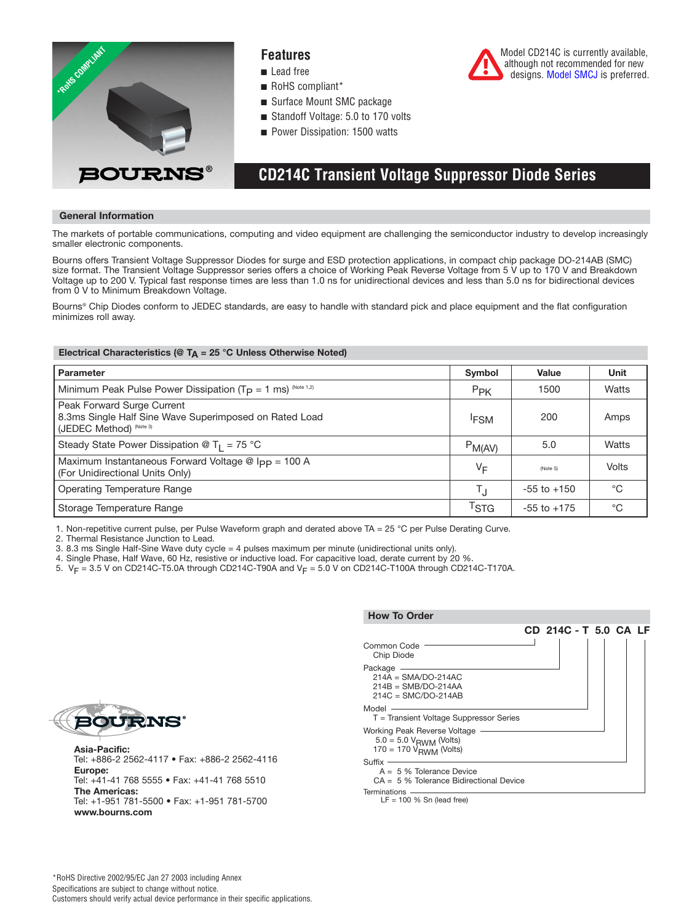

### **Features**

- Lead free
- RoHS compliant\*
- Surface Mount SMC package
- Standoff Voltage: 5.0 to 170 volts
- Power Dissipation: 1500 watts

## **CD214C Transient Voltage Suppressor Diode Series**

#### **General Information**

The markets of portable communications, computing and video equipment are challenging the semiconductor industry to develop increasingly smaller electronic components.

Bourns offers Transient Voltage Suppressor Diodes for surge and ESD protection applications, in compact chip package DO-214AB (SMC) size format. The Transient Voltage Suppressor series offers a choice of Working Peak Reverse Voltage from 5 V up to 170 V and Breakdown Voltage up to 200 V. Typical fast response times are less than 1.0 ns for unidirectional devices and less than 5.0 ns for bidirectional devices from 0 V to Minimum Breakdown Voltage.

Bourns® Chip Diodes conform to JEDEC standards, are easy to handle with standard pick and place equipment and the flat configuration minimizes roll away.

#### **Electrical Characteristics (@ TA = 25 °C Unless Otherwise Noted)**

| Parameter                                                                                                       | Symbol             | Value           | Unit  |
|-----------------------------------------------------------------------------------------------------------------|--------------------|-----------------|-------|
| Minimum Peak Pulse Power Dissipation ( $T_P = 1$ ms) (Note 1,2)                                                 | $P_{PK}$           | 1500            | Watts |
| Peak Forward Surge Current<br>8.3ms Single Half Sine Wave Superimposed on Rated Load<br>(JEDEC Method) (Note 3) | <sup>I</sup> FSM   | 200             | Amps  |
| Steady State Power Dissipation @ T <sub>1</sub> = 75 °C                                                         | $P_{M(AV)}$        | 5.0             | Watts |
| Maximum Instantaneous Forward Voltage @ Ipp = 100 A<br>(For Unidirectional Units Only)                          | VF                 | (Note 5)        | Volts |
| Operating Temperature Range                                                                                     | $T_{\rm J}$        | $-55$ to $+150$ | °C    |
| Storage Temperature Range                                                                                       | $\mathsf{^{T}STG}$ | $-55$ to $+175$ | °C    |

1. Non-repetitive current pulse, per Pulse Waveform graph and derated above TA = 25 °C per Pulse Derating Curve.

2. Thermal Resistance Junction to Lead.

3. 8.3 ms Single Half-Sine Wave duty cycle = 4 pulses maximum per minute (unidirectional units only).

4. Single Phase, Half Wave, 60 Hz, resistive or inductive load. For capacitive load, derate current by 20 %.

5.  $V_F = 3.5$  V on CD214C-T5.0A through CD214C-T90A and  $V_F = 5.0$  V on CD214C-T100A through CD214C-T170A.



**Asia-Pacific:** Tel: +886-2 2562-4117 • Fax: +886-2 2562-4116 **Europe:** Tel: +41-41 768 5555 • Fax: +41-41 768 5510 **The Americas:** Tel: +1-951 781-5500 • Fax: +1-951 781-5700 **www.bourns.com**



Model CD214C is currently available, although not recommended for new designs[. Model SMCJ is](http://www.bourns.com/data/global/pdfs/SMCJ.pdf) preferred.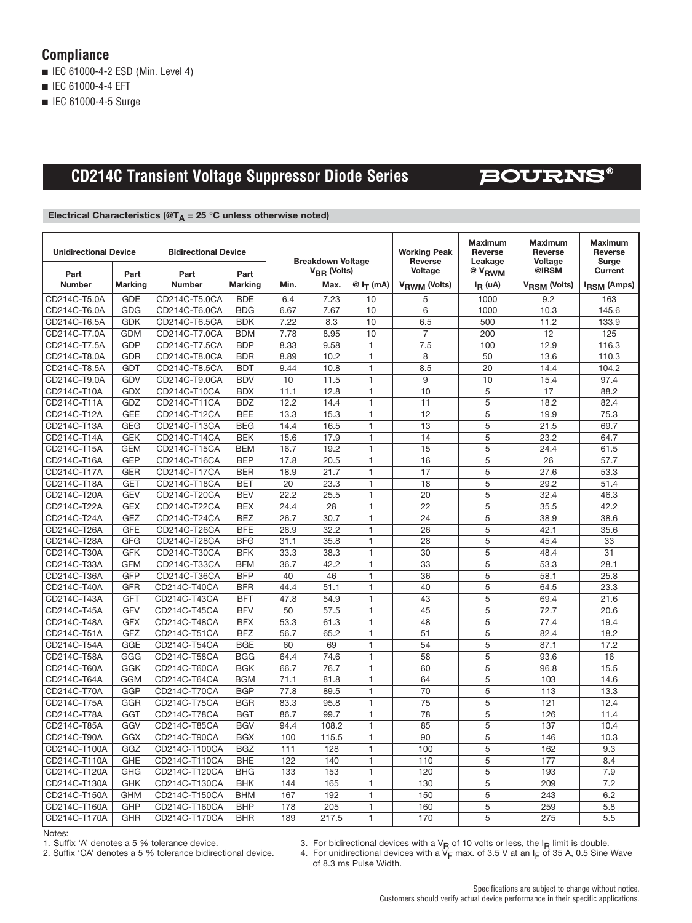### **Compliance**

■ IEC 61000-4-2 ESD (Min. Level 4)

■ IEC 61000-4-4 EFT

■ IEC 61000-4-5 Surge

## **CD214C Transient Voltage Suppressor Diode Series**

## **BOURNS®**

### **Electrical Characteristics (@T<sub>A</sub> = 25 °C unless otherwise noted)**

| <b>Unidirectional Device</b> |                        | <b>Bidirectional Device</b> |                        |                                         | <b>Breakdown Voltage</b> |                        | <b>Working Peak</b><br><b>Reverse</b><br>Voltage | <b>Maximum</b><br><b>Reverse</b><br>Leakage | <b>Maximum</b><br>Reverse<br>Voltage<br>@IRSM | <b>Maximum</b><br>Reverse<br>Surge<br><b>Current</b> |
|------------------------------|------------------------|-----------------------------|------------------------|-----------------------------------------|--------------------------|------------------------|--------------------------------------------------|---------------------------------------------|-----------------------------------------------|------------------------------------------------------|
| Part<br><b>Number</b>        | Part<br><b>Marking</b> | Part<br><b>Number</b>       | Part<br><b>Marking</b> | V <sub>BR</sub> (Volts)<br>Min.<br>Max. |                          | $@I_{\mathsf{T}}$ (mA) | V <sub>RWM</sub> (Volts)                         | <sup>@ V</sup> RWM<br>$I_R$ (uA)            | V <sub>RSM</sub> (Volts)                      | <b>IRSM (Amps)</b>                                   |
| CD214C-T5.0A                 | <b>GDE</b>             | CD214C-T5.0CA               | <b>BDE</b>             | 6.4                                     | 7.23                     | 10                     | 5                                                | 1000                                        | 9.2                                           | 163                                                  |
| CD214C-T6.0A                 | <b>GDG</b>             | CD214C-T6.0CA               | <b>BDG</b>             | 6.67                                    | 7.67                     | 10                     | 6                                                | 1000                                        | 10.3                                          | 145.6                                                |
| CD214C-T6.5A                 | <b>GDK</b>             | CD214C-T6.5CA               | <b>BDK</b>             | 7.22                                    | 8.3                      | 10                     | 6.5                                              | 500                                         | 11.2                                          | 133.9                                                |
| CD214C-T7.0A                 | <b>GDM</b>             | CD214C-T7.0CA               | <b>BDM</b>             | 7.78                                    | 8.95                     | 10                     | $\overline{7}$                                   | 200                                         | 12                                            | 125                                                  |
| CD214C-T7.5A                 | <b>GDP</b>             | CD214C-T7.5CA               | <b>BDP</b>             | 8.33                                    | 9.58                     | $\mathbf{1}$           | 7.5                                              | 100                                         | 12.9                                          | 116.3                                                |
| CD214C-T8.0A                 | <b>GDR</b>             | CD214C-T8.0CA               | <b>BDR</b>             | 8.89                                    | 10.2                     | 1                      | 8                                                | 50                                          | 13.6                                          | 110.3                                                |
| CD214C-T8.5A                 | <b>GDT</b>             | CD214C-T8.5CA               | <b>BDT</b>             | 9.44                                    | 10.8                     | $\mathbf{1}$           | 8.5                                              | 20                                          | 14.4                                          | 104.2                                                |
| CD214C-T9.0A                 | GDV                    | CD214C-T9.0CA               | <b>BDV</b>             | 10                                      | 11.5                     | 1                      | 9                                                | 10                                          | 15.4                                          | 97.4                                                 |
| CD214C-T10A                  | <b>GDX</b>             | CD214C-T10CA                | <b>BDX</b>             | 11.1                                    | 12.8                     | $\mathbf{1}$           | 10                                               | 5                                           | 17                                            | 88.2                                                 |
| CD214C-T11A                  | GDZ                    | CD214C-T11CA                | <b>BDZ</b>             | 12.2                                    | 14.4                     | 1                      | 11                                               | 5                                           | 18.2                                          | 82.4                                                 |
| CD214C-T12A                  | <b>GEE</b>             | CD214C-T12CA                | <b>BEE</b>             | 13.3                                    | 15.3                     | $\mathbf{1}$           | 12                                               | $\overline{5}$                              | 19.9                                          | 75.3                                                 |
| CD214C-T13A                  | <b>GEG</b>             | CD214C-T13CA                | <b>BEG</b>             | 14.4                                    | 16.5                     | $\mathbf{1}$           | 13                                               | $\overline{5}$                              | 21.5                                          | 69.7                                                 |
| CD214C-T14A                  | <b>GEK</b>             | CD214C-T14CA                | <b>BEK</b>             | 15.6                                    | 17.9                     | $\overline{1}$         | 14                                               | 5                                           | 23.2                                          | 64.7                                                 |
| CD214C-T15A                  | <b>GEM</b>             | CD214C-T15CA                | <b>BEM</b>             | 16.7                                    | 19.2                     | $\mathbf{1}$           | 15                                               | 5                                           | 24.4                                          | 61.5                                                 |
| CD214C-T16A                  | <b>GEP</b>             | CD214C-T16CA                | <b>BEP</b>             | 17.8                                    | 20.5                     | $\mathbf{1}$           | 16                                               | 5                                           | 26                                            | 57.7                                                 |
| CD214C-T17A                  | <b>GER</b>             | CD214C-T17CA                | <b>BER</b>             | 18.9                                    | 21.7                     | $\mathbf{1}$           | 17                                               | 5                                           | 27.6                                          | 53.3                                                 |
| CD214C-T18A                  | <b>GET</b>             | CD214C-T18CA                | <b>BET</b>             | 20                                      | 23.3                     | $\mathbf{1}$           | 18                                               | 5                                           | 29.2                                          | 51.4                                                 |
| CD214C-T20A                  | <b>GEV</b>             | CD214C-T20CA                | <b>BEV</b>             | 22.2                                    | 25.5                     | $\mathbf{1}$           | 20                                               | 5                                           | 32.4                                          | 46.3                                                 |
| CD214C-T22A                  | <b>GEX</b>             | CD214C-T22CA                | <b>BEX</b>             | 24.4                                    | 28                       | $\mathbf{1}$           | 22                                               | 5                                           | 35.5                                          | 42.2                                                 |
| CD214C-T24A                  | GEZ                    | CD214C-T24CA                | <b>BEZ</b>             | 26.7                                    | 30.7                     | 1                      | 24                                               | 5                                           | 38.9                                          | 38.6                                                 |
| CD214C-T26A                  | <b>GFE</b>             | CD214C-T26CA                | <b>BFE</b>             | 28.9                                    | 32.2                     | $\overline{1}$         | $\overline{26}$                                  | $\overline{5}$                              | 42.1                                          | 35.6                                                 |
| CD214C-T28A                  | <b>GFG</b>             | CD214C-T28CA                | <b>BFG</b>             | 31.1                                    | 35.8                     | $\mathbf{1}$           | 28                                               | 5                                           | 45.4                                          | 33                                                   |
| CD214C-T30A                  | <b>GFK</b>             | CD214C-T30CA                | <b>BFK</b>             | 33.3                                    | 38.3                     | $\mathbf{1}$           | 30                                               | 5                                           | 48.4                                          | 31                                                   |
| CD214C-T33A                  | <b>GFM</b>             | CD214C-T33CA                | <b>BFM</b>             | 36.7                                    | 42.2                     | 1                      | 33                                               | 5                                           | 53.3                                          | 28.1                                                 |
| CD214C-T36A                  | <b>GFP</b>             | CD214C-T36CA                | <b>BFP</b>             | 40                                      | 46                       | $\overline{1}$         | 36                                               | 5                                           | 58.1                                          | 25.8                                                 |
| CD214C-T40A                  | <b>GFR</b>             | CD214C-T40CA                | <b>BFR</b>             | 44.4                                    | 51.1                     | 1                      | 40                                               | 5                                           | 64.5                                          | 23.3                                                 |
| CD214C-T43A                  | <b>GFT</b>             | CD214C-T43CA                | <b>BFT</b>             | 47.8                                    | 54.9                     | $\mathbf{1}$           | 43                                               | 5                                           | 69.4                                          | 21.6                                                 |
| CD214C-T45A                  | <b>GFV</b>             | CD214C-T45CA                | <b>BFV</b>             | 50                                      | 57.5                     | $\mathbf{1}$           | 45                                               | 5                                           | 72.7                                          | 20.6                                                 |
| CD214C-T48A                  | <b>GFX</b>             | CD214C-T48CA                | <b>BFX</b>             | 53.3                                    | 61.3                     | $\mathbf{1}$           | 48                                               | $\overline{5}$                              | 77.4                                          | 19.4                                                 |
| CD214C-T51A                  | GFZ                    | CD214C-T51CA                | <b>BFZ</b>             | 56.7                                    | 65.2                     | $\mathbf{1}$           | 51                                               | 5                                           | 82.4                                          | 18.2                                                 |
| CD214C-T54A                  | GGE                    | CD214C-T54CA                | <b>BGE</b>             | 60                                      | 69                       | 1                      | 54                                               | 5                                           | 87.1                                          | 17.2                                                 |
| CD214C-T58A                  | GGG                    | CD214C-T58CA                | <b>BGG</b>             | 64.4                                    | 74.6                     | $\mathbf{1}$           | 58                                               | $\overline{5}$                              | 93.6                                          | 16                                                   |
| CD214C-T60A                  | GGK                    | CD214C-T60CA                | <b>BGK</b>             | 66.7                                    | 76.7                     | 1                      | 60                                               | 5                                           | 96.8                                          | 15.5                                                 |
| CD214C-T64A                  | <b>GGM</b>             | CD214C-T64CA                | <b>BGM</b>             | 71.1                                    | 81.8                     | $\mathbf{1}$           | 64                                               | 5                                           | 103                                           | 14.6                                                 |
| CD214C-T70A                  | GGP                    | CD214C-T70CA                | <b>BGP</b>             | 77.8                                    | 89.5                     | 1                      | 70                                               | 5                                           | 113                                           | 13.3                                                 |
| CD214C-T75A                  | GGR                    | CD214C-T75CA                | <b>BGR</b>             | 83.3                                    | 95.8                     | $\mathbf{1}$           | 75                                               | $\overline{5}$                              | 121                                           | 12.4                                                 |
| CD214C-T78A                  | GGT                    | CD214C-T78CA                | <b>BGT</b>             | 86.7                                    | 99.7                     | $\mathbf{1}$           | 78                                               | $\overline{5}$                              | 126                                           | 11.4                                                 |
| CD214C-T85A                  | GGV                    | CD214C-T85CA                | <b>BGV</b>             | 94.4                                    | 108.2                    | $\overline{1}$         | 85                                               | 5                                           | 137                                           | 10.4                                                 |
| CD214C-T90A                  | GGX                    | CD214C-T90CA                | <b>BGX</b>             | 100                                     | 115.5                    | $\mathbf{1}$           | 90                                               | 5                                           | 146                                           | 10.3                                                 |
| CD214C-T100A                 | GGZ                    | CD214C-T100CA               | <b>BGZ</b>             | 111                                     | 128                      | $\mathbf{1}$           | 100                                              | 5                                           | 162                                           | 9.3                                                  |
| CD214C-T110A                 | <b>GHE</b>             | CD214C-T110CA               | <b>BHE</b>             | 122                                     | 140                      | $\mathbf{1}$           | 110                                              | 5                                           | 177                                           | 8.4                                                  |
| CD214C-T120A                 | <b>GHG</b>             | CD214C-T120CA               | <b>BHG</b>             | 133                                     | 153                      | $\mathbf{1}$           | 120                                              | 5                                           | 193                                           | 7.9                                                  |
| CD214C-T130A                 | <b>GHK</b>             | CD214C-T130CA               | <b>BHK</b>             | 144                                     | 165                      | 1                      | 130                                              | 5                                           | 209                                           | 7.2                                                  |
| CD214C-T150A                 | <b>GHM</b>             | CD214C-T150CA               | <b>BHM</b>             | 167                                     | 192                      | $\mathbf{1}$           | 150                                              | 5                                           | 243                                           | 6.2                                                  |
| CD214C-T160A                 | GHP                    | CD214C-T160CA               | <b>BHP</b>             | 178                                     | 205                      | 1                      | 160                                              | 5                                           | 259                                           | 5.8                                                  |
| CD214C-T170A                 | GHR                    | CD214C-T170CA               | <b>BHR</b>             | 189                                     | 217.5                    | $\overline{1}$         | 170                                              | $\overline{5}$                              | 275                                           | 5.5                                                  |
|                              |                        |                             |                        |                                         |                          |                        |                                                  |                                             |                                               |                                                      |

Notes:<br>1. Suffix 'A' denotes a 5 % tolerance device.

1. Suffix 'A' denotes a 5 % tolerance device. 3. For bidirectional devices with a VR of 10 volts or less, the IR limit is double.

2. Suffix 'CA' denotes a 5 % tolerance bidirectional device. 4. For unidirectional devices with a VF max. of 3.5 V at an IF of 35 A, 0.5 Sine Wave of 8.3 ms Pulse Width.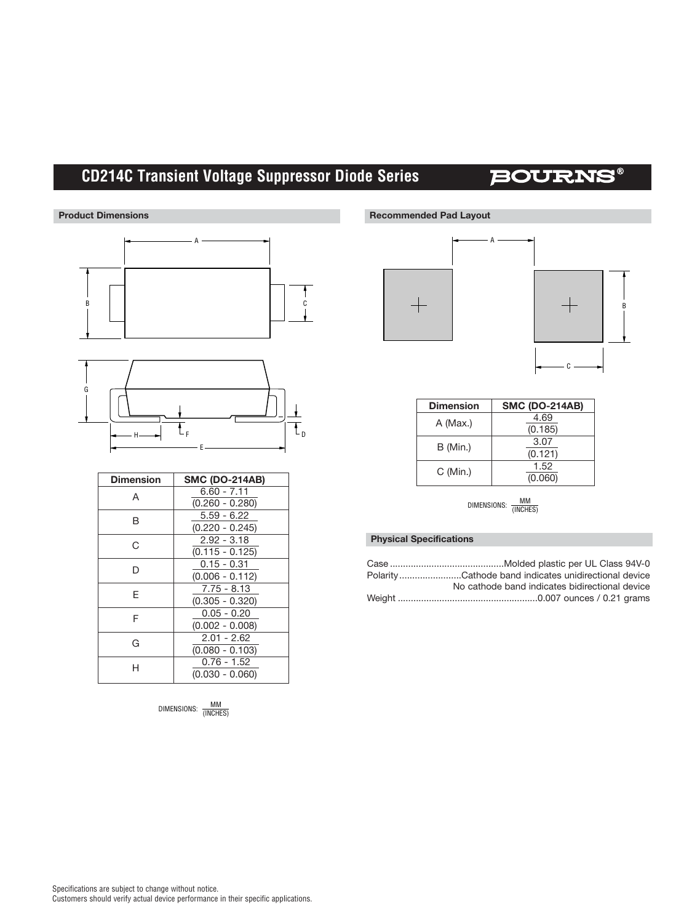# **CD214C Transient Voltage Suppressor Diode Series**

## **BOURNS®**



| <b>Dimension</b> | <b>SMC (DO-214AB)</b> |  |  |
|------------------|-----------------------|--|--|
| A                | $6.60 - 7.11$         |  |  |
|                  | $(0.260 - 0.280)$     |  |  |
| R                | $5.59 - 6.22$         |  |  |
|                  | $(0.220 - 0.245)$     |  |  |
| C                | $2.92 - 3.18$         |  |  |
|                  | $(0.115 - 0.125)$     |  |  |
| D                | $0.15 - 0.31$         |  |  |
|                  | $(0.006 - 0.112)$     |  |  |
| F                | $7.75 - 8.13$         |  |  |
|                  | $(0.305 - 0.320)$     |  |  |
| F                | $0.05 - 0.20$         |  |  |
|                  | $(0.002 - 0.008)$     |  |  |
| G                | $2.01 - 2.62$         |  |  |
|                  | $(0.080 - 0.103)$     |  |  |
|                  | $0.76 - 1.52$         |  |  |
|                  | $(0.030 - 0.060)$     |  |  |

DIMENSIONS: MM<br>(INCHES)





| <b>Dimension</b> | <b>SMC (DO-214AB)</b> |
|------------------|-----------------------|
| A (Max.)         | 4.69                  |
|                  | (0.185)               |
| B (Min.)         | 3.07                  |
|                  | (0.121)               |
| C (Min.)         | 1.52                  |
|                  | (0.060)               |

DIMENSIONS: <u>MM</u><br>(INCHES)

#### **Physical Specifications**

| PolarityCathode band indicates unidirectional device |
|------------------------------------------------------|
| No cathode band indicates bidirectional device       |
|                                                      |
|                                                      |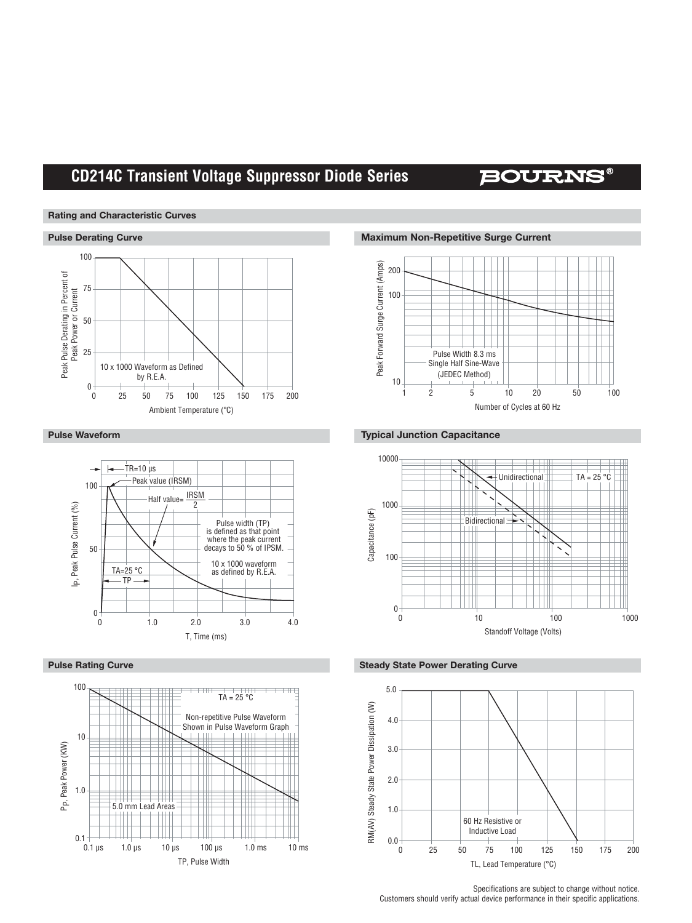## **CD214C Transient Voltage Suppressor Diode Series**

## **BOURNS®**

#### **Rating and Characteristic Curves**







**Pulse Derating Curve Maximum Non-Repetitive Surge Current** 



#### **Pulse Waveform Typical Junction Capacitance**







Specifications are subject to change without notice. Customers should verify actual device performance in their specific applications.